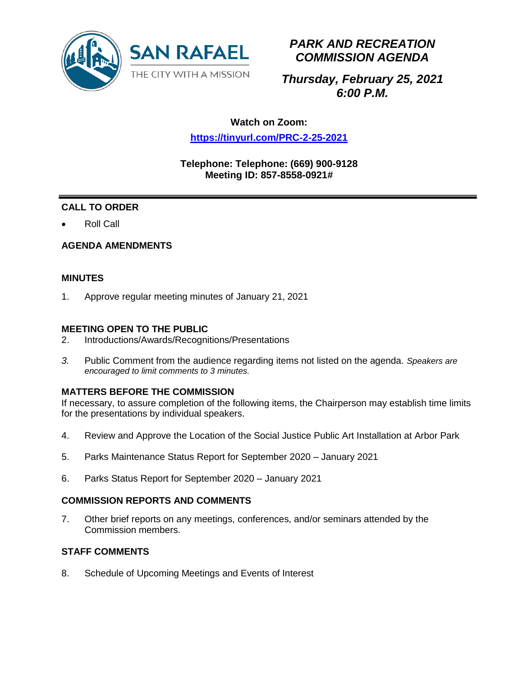

# *PARK AND RECREATION COMMISSION AGENDA*

# *Thursday, February 25, 2021 6:00 P.M.*

# **Watch on Zoom:**

## **<https://tinyurl.com/PRC-2-25-2021>**

### **Telephone: Telephone: (669) 900-9128 Meeting ID: 857-8558-0921#**

# **CALL TO ORDER**

• Roll Call

## **AGENDA AMENDMENTS**

### **MINUTES**

1. Approve regular meeting minutes of January 21, 2021

#### **MEETING OPEN TO THE PUBLIC**

- 2. Introductions/Awards/Recognitions/Presentations
- *3.* Public Comment from the audience regarding items not listed on the agenda. *Speakers are encouraged to limit comments to 3 minutes.*

### **MATTERS BEFORE THE COMMISSION**

If necessary, to assure completion of the following items, the Chairperson may establish time limits for the presentations by individual speakers.

- 4. Review and Approve the Location of the Social Justice Public Art Installation at Arbor Park
- 5. Parks Maintenance Status Report for September 2020 January 2021
- 6. Parks Status Report for September 2020 January 2021

#### **COMMISSION REPORTS AND COMMENTS**

7. Other brief reports on any meetings, conferences, and/or seminars attended by the Commission members.

### **STAFF COMMENTS**

8. Schedule of Upcoming Meetings and Events of Interest